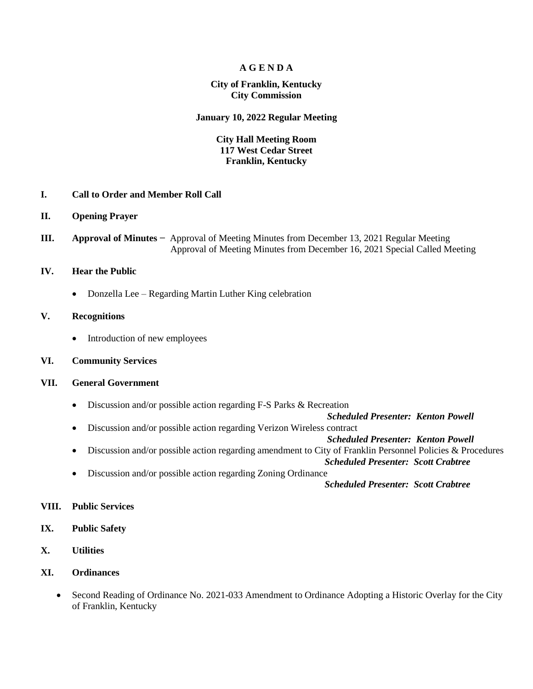### **A G E N D A**

### **City of Franklin, Kentucky City Commission**

#### **January 10, 2022 Regular Meeting**

## **City Hall Meeting Room 117 West Cedar Street Franklin, Kentucky**

- **I. Call to Order and Member Roll Call**
- **II. Opening Prayer**
- **III. Approval of Minutes −** Approval of Meeting Minutes from December 13, 2021 Regular Meeting Approval of Meeting Minutes from December 16, 2021 Special Called Meeting

#### **IV. Hear the Public**

• Donzella Lee – Regarding Martin Luther King celebration

## **V. Recognitions**

- Introduction of new employees
- **VI. Community Services**

## **VII. General Government**

Discussion and/or possible action regarding F-S Parks & Recreation

 *Scheduled Presenter: Kenton Powell*

Discussion and/or possible action regarding Verizon Wireless contract

 *Scheduled Presenter: Kenton Powell*

- Discussion and/or possible action regarding amendment to City of Franklin Personnel Policies & Procedures  *Scheduled Presenter: Scott Crabtree*
- Discussion and/or possible action regarding Zoning Ordinance

 *Scheduled Presenter: Scott Crabtree*

#### **VIII. Public Services**

- **IX. Public Safety**
- **X. Utilities**
- **XI. Ordinances**
	- Second Reading of Ordinance No. 2021-033 Amendment to Ordinance Adopting a Historic Overlay for the City of Franklin, Kentucky